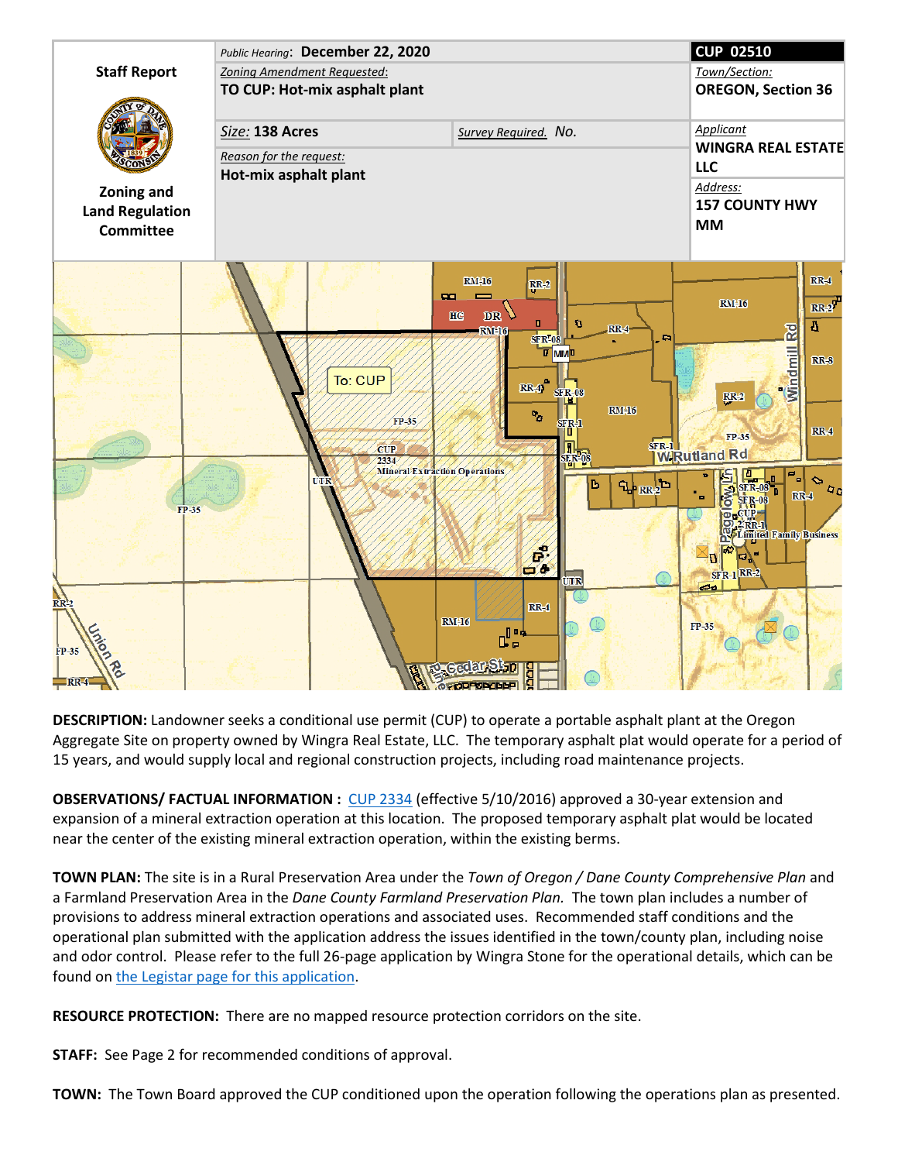

**DESCRIPTION:** Landowner seeks a conditional use permit (CUP) to operate a portable asphalt plant at the Oregon Aggregate Site on property owned by Wingra Real Estate, LLC. The temporary asphalt plat would operate for a period of 15 years, and would supply local and regional construction projects, including road maintenance projects.

**OBSERVATIONS/ FACTUAL INFORMATION :** [CUP 2334](https://dane.legistar.com/LegislationDetail.aspx?ID=2592333&GUID=347E99AD-B94E-40CD-B0A6-5C0BF5B7F546&Options=Advanced&Search=) (effective 5/10/2016) approved a 30-year extension and expansion of a mineral extraction operation at this location. The proposed temporary asphalt plat would be located near the center of the existing mineral extraction operation, within the existing berms.

**TOWN PLAN:** The site is in a Rural Preservation Area under the *Town of Oregon / Dane County Comprehensive Plan* and a Farmland Preservation Area in the *Dane County Farmland Preservation Plan.* The town plan includes a number of provisions to address mineral extraction operations and associated uses. Recommended staff conditions and the operational plan submitted with the application address the issues identified in the town/county plan, including noise and odor control. Please refer to the full 26-page application by Wingra Stone for the operational details, which can be found on [the Legistar page for this application.](https://dane.legistar.com/View.ashx?M=F&ID=8862724&GUID=1AC118A1-0F20-46B9-85BD-1DD2D0F687A7)

**RESOURCE PROTECTION:** There are no mapped resource protection corridors on the site.

**STAFF:** See Page 2 for recommended conditions of approval.

**TOWN:** The Town Board approved the CUP conditioned upon the operation following the operations plan as presented.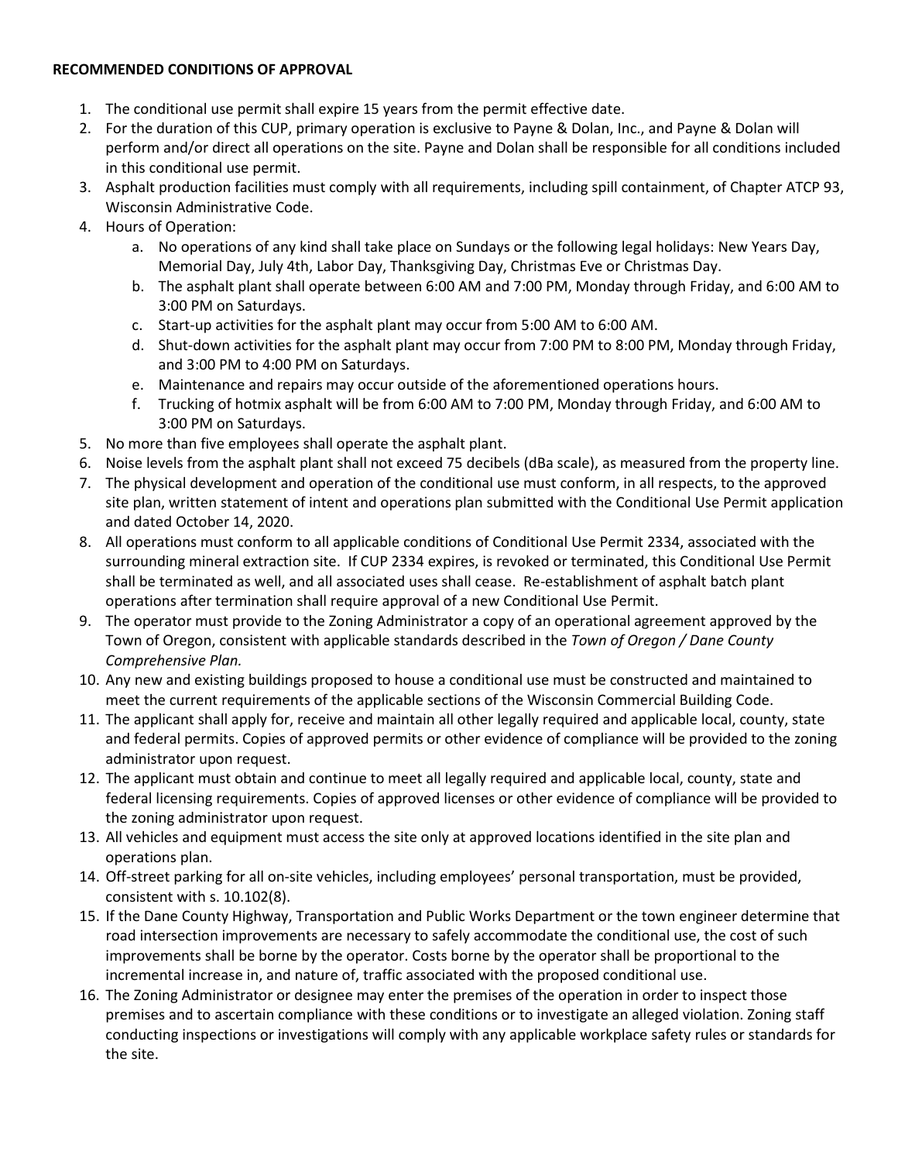## **RECOMMENDED CONDITIONS OF APPROVAL**

- 1. The conditional use permit shall expire 15 years from the permit effective date.
- 2. For the duration of this CUP, primary operation is exclusive to Payne & Dolan, Inc., and Payne & Dolan will perform and/or direct all operations on the site. Payne and Dolan shall be responsible for all conditions included in this conditional use permit.
- 3. Asphalt production facilities must comply with all requirements, including spill containment, of Chapter ATCP 93, Wisconsin Administrative Code.
- 4. Hours of Operation:
	- a. No operations of any kind shall take place on Sundays or the following legal holidays: New Years Day, Memorial Day, July 4th, Labor Day, Thanksgiving Day, Christmas Eve or Christmas Day.
	- b. The asphalt plant shall operate between 6:00 AM and 7:00 PM, Monday through Friday, and 6:00 AM to 3:00 PM on Saturdays.
	- c. Start-up activities for the asphalt plant may occur from 5:00 AM to 6:00 AM.
	- d. Shut-down activities for the asphalt plant may occur from 7:00 PM to 8:00 PM, Monday through Friday, and 3:00 PM to 4:00 PM on Saturdays.
	- e. Maintenance and repairs may occur outside of the aforementioned operations hours.
	- f. Trucking of hotmix asphalt will be from 6:00 AM to 7:00 PM, Monday through Friday, and 6:00 AM to 3:00 PM on Saturdays.
- 5. No more than five employees shall operate the asphalt plant.
- 6. Noise levels from the asphalt plant shall not exceed 75 decibels (dBa scale), as measured from the property line.
- 7. The physical development and operation of the conditional use must conform, in all respects, to the approved site plan, written statement of intent and operations plan submitted with the Conditional Use Permit application and dated October 14, 2020.
- 8. All operations must conform to all applicable conditions of Conditional Use Permit 2334, associated with the surrounding mineral extraction site. If CUP 2334 expires, is revoked or terminated, this Conditional Use Permit shall be terminated as well, and all associated uses shall cease. Re-establishment of asphalt batch plant operations after termination shall require approval of a new Conditional Use Permit.
- 9. The operator must provide to the Zoning Administrator a copy of an operational agreement approved by the Town of Oregon, consistent with applicable standards described in the *Town of Oregon / Dane County Comprehensive Plan.*
- 10. Any new and existing buildings proposed to house a conditional use must be constructed and maintained to meet the current requirements of the applicable sections of the Wisconsin Commercial Building Code.
- 11. The applicant shall apply for, receive and maintain all other legally required and applicable local, county, state and federal permits. Copies of approved permits or other evidence of compliance will be provided to the zoning administrator upon request.
- 12. The applicant must obtain and continue to meet all legally required and applicable local, county, state and federal licensing requirements. Copies of approved licenses or other evidence of compliance will be provided to the zoning administrator upon request.
- 13. All vehicles and equipment must access the site only at approved locations identified in the site plan and operations plan.
- 14. Off-street parking for all on-site vehicles, including employees' personal transportation, must be provided, consistent with s. 10.102(8).
- 15. If the Dane County Highway, Transportation and Public Works Department or the town engineer determine that road intersection improvements are necessary to safely accommodate the conditional use, the cost of such improvements shall be borne by the operator. Costs borne by the operator shall be proportional to the incremental increase in, and nature of, traffic associated with the proposed conditional use.
- 16. The Zoning Administrator or designee may enter the premises of the operation in order to inspect those premises and to ascertain compliance with these conditions or to investigate an alleged violation. Zoning staff conducting inspections or investigations will comply with any applicable workplace safety rules or standards for the site.